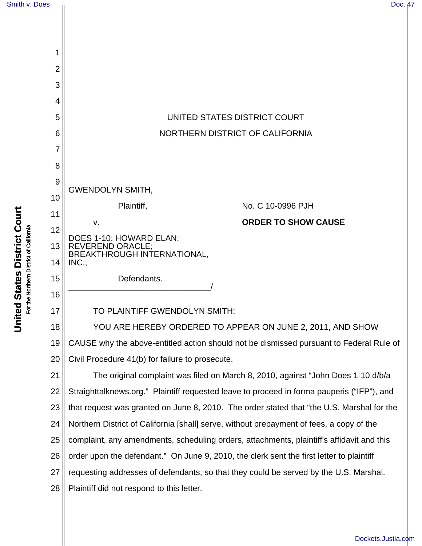



**United States District Court United States District Court** For the Northern District of California For the Northern District of California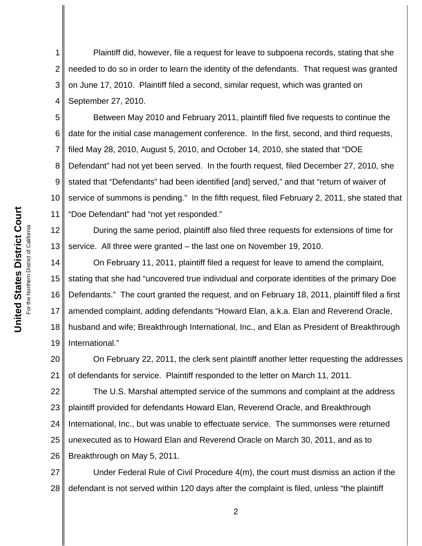1 2 3 4 Plaintiff did, however, file a request for leave to subpoena records, stating that she needed to do so in order to learn the identity of the defendants. That request was granted on June 17, 2010. Plaintiff filed a second, similar request, which was granted on September 27, 2010.

5 6 7 8 9 10 11 Between May 2010 and February 2011, plaintiff filed five requests to continue the date for the initial case management conference. In the first, second, and third requests, filed May 28, 2010, August 5, 2010, and October 14, 2010, she stated that "DOE Defendant" had not yet been served. In the fourth request, filed December 27, 2010, she stated that "Defendants" had been identified [and] served," and that "return of waiver of service of summons is pending." In the fifth request, filed February 2, 2011, she stated that "Doe Defendant" had "not yet responded."

12 13 During the same period, plaintiff also filed three requests for extensions of time for service. All three were granted – the last one on November 19, 2010.

14 15 16 17 18 19 On February 11, 2011, plaintiff filed a request for leave to amend the complaint, stating that she had "uncovered true individual and corporate identities of the primary Doe Defendants." The court granted the request, and on February 18, 2011, plaintiff filed a first amended complaint, adding defendants "Howard Elan, a.k.a. Elan and Reverend Oracle, husband and wife; Breakthrough International, Inc., and Elan as President of Breakthrough International."

20 21 On February 22, 2011, the clerk sent plaintiff another letter requesting the addresses of defendants for service. Plaintiff responded to the letter on March 11, 2011.

22 23 24 25 26 The U.S. Marshal attempted service of the summons and complaint at the address plaintiff provided for defendants Howard Elan, Reverend Oracle, and Breakthrough International, Inc., but was unable to effectuate service. The summonses were returned unexecuted as to Howard Elan and Reverend Oracle on March 30, 2011, and as to Breakthrough on May 5, 2011.

27 28 Under Federal Rule of Civil Procedure 4(m), the court must dismiss an action if the defendant is not served within 120 days after the complaint is filed, unless "the plaintiff